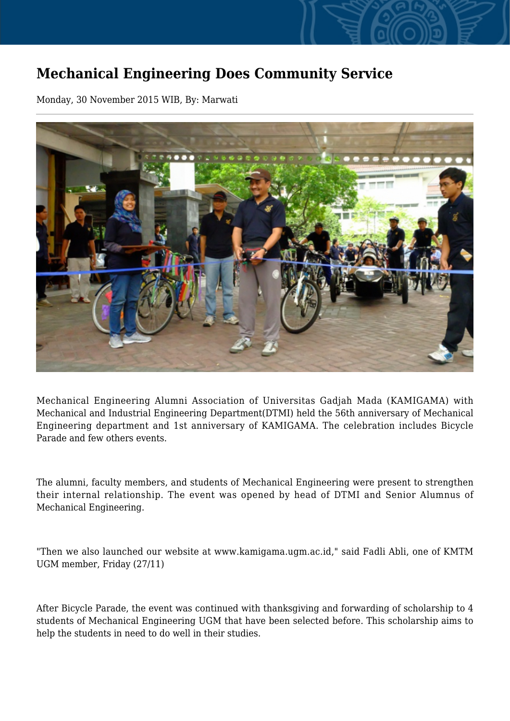## **Mechanical Engineering Does Community Service**

Monday, 30 November 2015 WIB, By: Marwati



Mechanical Engineering Alumni Association of Universitas Gadjah Mada (KAMIGAMA) with Mechanical and Industrial Engineering Department(DTMI) held the 56th anniversary of Mechanical Engineering department and 1st anniversary of KAMIGAMA. The celebration includes Bicycle Parade and few others events.

The alumni, faculty members, and students of Mechanical Engineering were present to strengthen their internal relationship. The event was opened by head of DTMI and Senior Alumnus of Mechanical Engineering.

"Then we also launched our website at www.kamigama.ugm.ac.id," said Fadli Abli, one of KMTM UGM member, Friday (27/11)

After Bicycle Parade, the event was continued with thanksgiving and forwarding of scholarship to 4 students of Mechanical Engineering UGM that have been selected before. This scholarship aims to help the students in need to do well in their studies.